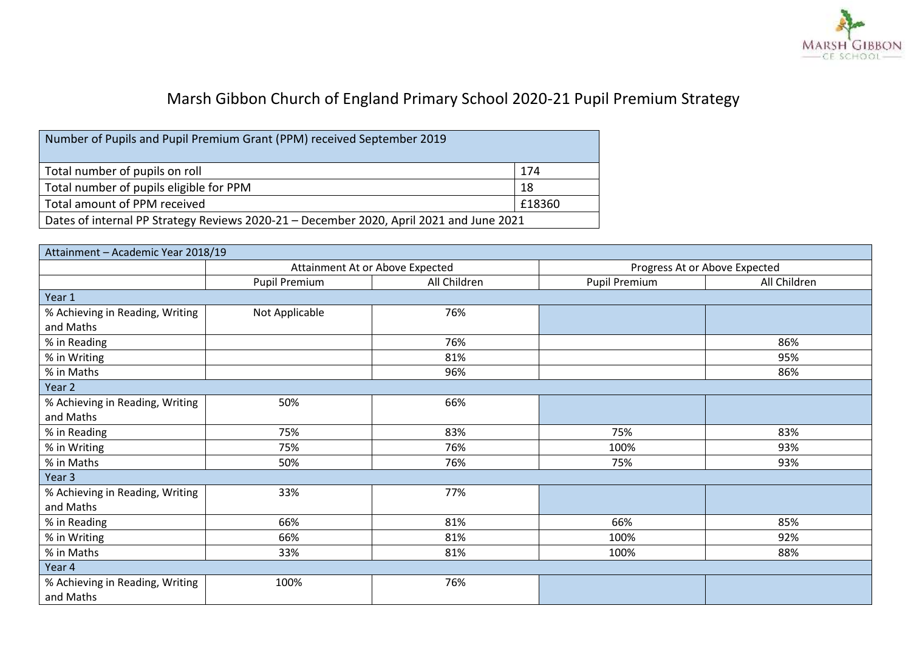

## Marsh Gibbon Church of England Primary School 2020-21 Pupil Premium Strategy

| Number of Pupils and Pupil Premium Grant (PPM) received September 2019                  |     |  |
|-----------------------------------------------------------------------------------------|-----|--|
| Total number of pupils on roll                                                          | 174 |  |
| Total number of pupils eligible for PPM                                                 | 18  |  |
| Total amount of PPM received<br>£18360                                                  |     |  |
| Dates of internal PP Strategy Reviews 2020-21 - December 2020, April 2021 and June 2021 |     |  |

| Attainment - Academic Year 2018/19 |                                 |              |                               |              |
|------------------------------------|---------------------------------|--------------|-------------------------------|--------------|
|                                    | Attainment At or Above Expected |              | Progress At or Above Expected |              |
|                                    | Pupil Premium                   | All Children | Pupil Premium                 | All Children |
| Year 1                             |                                 |              |                               |              |
| % Achieving in Reading, Writing    | Not Applicable                  | 76%          |                               |              |
| and Maths                          |                                 |              |                               |              |
| % in Reading                       |                                 | 76%          |                               | 86%          |
| % in Writing                       |                                 | 81%          |                               | 95%          |
| % in Maths                         |                                 | 96%          |                               | 86%          |
| Year 2                             |                                 |              |                               |              |
| % Achieving in Reading, Writing    | 50%                             | 66%          |                               |              |
| and Maths                          |                                 |              |                               |              |
| % in Reading                       | 75%                             | 83%          | 75%                           | 83%          |
| % in Writing                       | 75%                             | 76%          | 100%                          | 93%          |
| % in Maths                         | 50%                             | 76%          | 75%                           | 93%          |
| Year <sub>3</sub>                  |                                 |              |                               |              |
| % Achieving in Reading, Writing    | 33%                             | 77%          |                               |              |
| and Maths                          |                                 |              |                               |              |
| % in Reading                       | 66%                             | 81%          | 66%                           | 85%          |
| % in Writing                       | 66%                             | 81%          | 100%                          | 92%          |
| % in Maths                         | 33%                             | 81%          | 100%                          | 88%          |
| Year 4                             |                                 |              |                               |              |
| % Achieving in Reading, Writing    | 100%                            | 76%          |                               |              |
| and Maths                          |                                 |              |                               |              |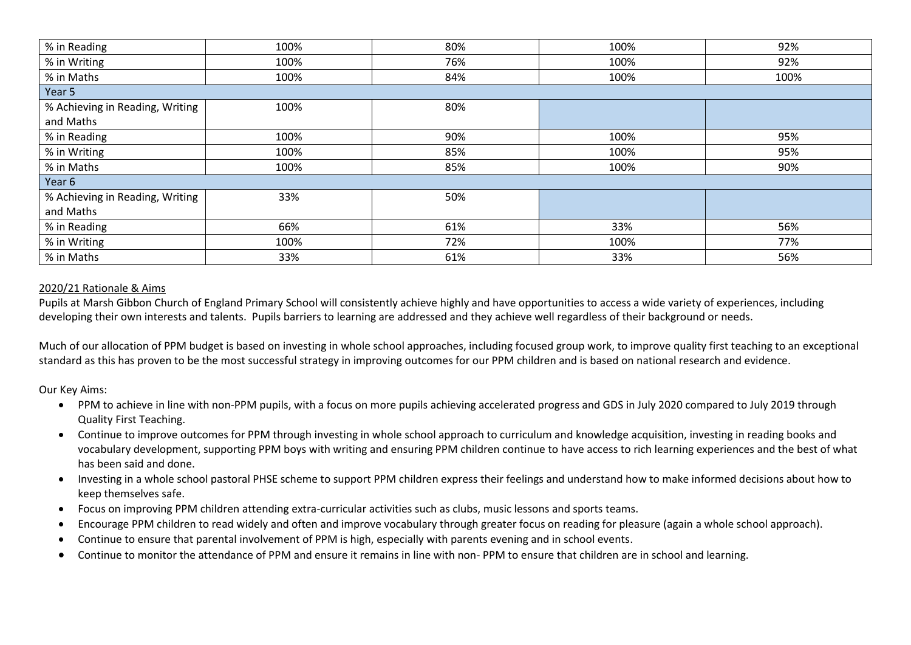| % in Reading                    | 100% | 80% | 100% | 92%  |
|---------------------------------|------|-----|------|------|
| % in Writing                    | 100% | 76% | 100% | 92%  |
| % in Maths                      | 100% | 84% | 100% | 100% |
| Year 5                          |      |     |      |      |
| % Achieving in Reading, Writing | 100% | 80% |      |      |
| and Maths                       |      |     |      |      |
| % in Reading                    | 100% | 90% | 100% | 95%  |
| % in Writing                    | 100% | 85% | 100% | 95%  |
| % in Maths                      | 100% | 85% | 100% | 90%  |
| Year 6                          |      |     |      |      |
| % Achieving in Reading, Writing | 33%  | 50% |      |      |
| and Maths                       |      |     |      |      |
| % in Reading                    | 66%  | 61% | 33%  | 56%  |
| % in Writing                    | 100% | 72% | 100% | 77%  |
| % in Maths                      | 33%  | 61% | 33%  | 56%  |

## 2020/21 Rationale & Aims

Pupils at Marsh Gibbon Church of England Primary School will consistently achieve highly and have opportunities to access a wide variety of experiences, including developing their own interests and talents. Pupils barriers to learning are addressed and they achieve well regardless of their background or needs.

Much of our allocation of PPM budget is based on investing in whole school approaches, including focused group work, to improve quality first teaching to an exceptional standard as this has proven to be the most successful strategy in improving outcomes for our PPM children and is based on national research and evidence.

Our Key Aims:

- PPM to achieve in line with non-PPM pupils, with a focus on more pupils achieving accelerated progress and GDS in July 2020 compared to July 2019 through Quality First Teaching.
- Continue to improve outcomes for PPM through investing in whole school approach to curriculum and knowledge acquisition, investing in reading books and vocabulary development, supporting PPM boys with writing and ensuring PPM children continue to have access to rich learning experiences and the best of what has been said and done.
- Investing in a whole school pastoral PHSE scheme to support PPM children express their feelings and understand how to make informed decisions about how to keep themselves safe.
- Focus on improving PPM children attending extra-curricular activities such as clubs, music lessons and sports teams.
- Encourage PPM children to read widely and often and improve vocabulary through greater focus on reading for pleasure (again a whole school approach).
- Continue to ensure that parental involvement of PPM is high, especially with parents evening and in school events.
- Continue to monitor the attendance of PPM and ensure it remains in line with non- PPM to ensure that children are in school and learning.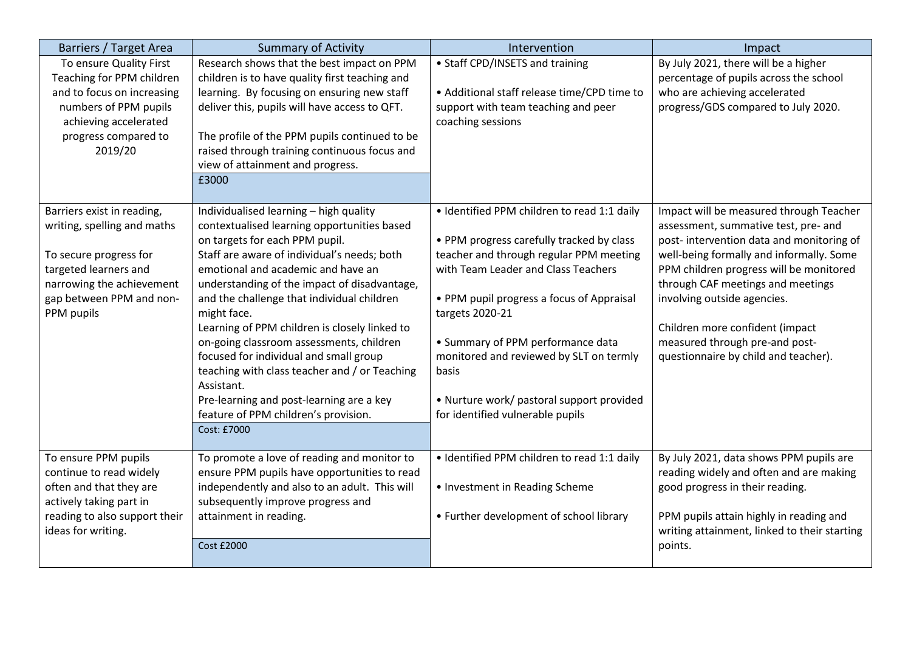| Barriers / Target Area                                                                                                                                                              | <b>Summary of Activity</b>                                                                                                                                                                                                                                                                                                                                                                                                                                                                                                                                                                                                         | Intervention                                                                                                                                                                                                                                                                                                                                                                                                         | Impact                                                                                                                                                                                                                                                                                                                                                                                              |
|-------------------------------------------------------------------------------------------------------------------------------------------------------------------------------------|------------------------------------------------------------------------------------------------------------------------------------------------------------------------------------------------------------------------------------------------------------------------------------------------------------------------------------------------------------------------------------------------------------------------------------------------------------------------------------------------------------------------------------------------------------------------------------------------------------------------------------|----------------------------------------------------------------------------------------------------------------------------------------------------------------------------------------------------------------------------------------------------------------------------------------------------------------------------------------------------------------------------------------------------------------------|-----------------------------------------------------------------------------------------------------------------------------------------------------------------------------------------------------------------------------------------------------------------------------------------------------------------------------------------------------------------------------------------------------|
| To ensure Quality First<br>Teaching for PPM children<br>and to focus on increasing<br>numbers of PPM pupils<br>achieving accelerated<br>progress compared to<br>2019/20             | Research shows that the best impact on PPM<br>children is to have quality first teaching and<br>learning. By focusing on ensuring new staff<br>deliver this, pupils will have access to QFT.<br>The profile of the PPM pupils continued to be<br>raised through training continuous focus and<br>view of attainment and progress.<br>£3000                                                                                                                                                                                                                                                                                         | • Staff CPD/INSETS and training<br>• Additional staff release time/CPD time to<br>support with team teaching and peer<br>coaching sessions                                                                                                                                                                                                                                                                           | By July 2021, there will be a higher<br>percentage of pupils across the school<br>who are achieving accelerated<br>progress/GDS compared to July 2020.                                                                                                                                                                                                                                              |
| Barriers exist in reading,<br>writing, spelling and maths<br>To secure progress for<br>targeted learners and<br>narrowing the achievement<br>gap between PPM and non-<br>PPM pupils | Individualised learning - high quality<br>contextualised learning opportunities based<br>on targets for each PPM pupil.<br>Staff are aware of individual's needs; both<br>emotional and academic and have an<br>understanding of the impact of disadvantage,<br>and the challenge that individual children<br>might face.<br>Learning of PPM children is closely linked to<br>on-going classroom assessments, children<br>focused for individual and small group<br>teaching with class teacher and / or Teaching<br>Assistant.<br>Pre-learning and post-learning are a key<br>feature of PPM children's provision.<br>Cost: £7000 | · Identified PPM children to read 1:1 daily<br>• PPM progress carefully tracked by class<br>teacher and through regular PPM meeting<br>with Team Leader and Class Teachers<br>• PPM pupil progress a focus of Appraisal<br>targets 2020-21<br>• Summary of PPM performance data<br>monitored and reviewed by SLT on termly<br>basis<br>• Nurture work/ pastoral support provided<br>for identified vulnerable pupils | Impact will be measured through Teacher<br>assessment, summative test, pre- and<br>post-intervention data and monitoring of<br>well-being formally and informally. Some<br>PPM children progress will be monitored<br>through CAF meetings and meetings<br>involving outside agencies.<br>Children more confident (impact<br>measured through pre-and post-<br>questionnaire by child and teacher). |
| To ensure PPM pupils<br>continue to read widely<br>often and that they are<br>actively taking part in<br>reading to also support their<br>ideas for writing.                        | To promote a love of reading and monitor to<br>ensure PPM pupils have opportunities to read<br>independently and also to an adult. This will<br>subsequently improve progress and<br>attainment in reading.<br>Cost £2000                                                                                                                                                                                                                                                                                                                                                                                                          | · Identified PPM children to read 1:1 daily<br>• Investment in Reading Scheme<br>• Further development of school library                                                                                                                                                                                                                                                                                             | By July 2021, data shows PPM pupils are<br>reading widely and often and are making<br>good progress in their reading.<br>PPM pupils attain highly in reading and<br>writing attainment, linked to their starting<br>points.                                                                                                                                                                         |